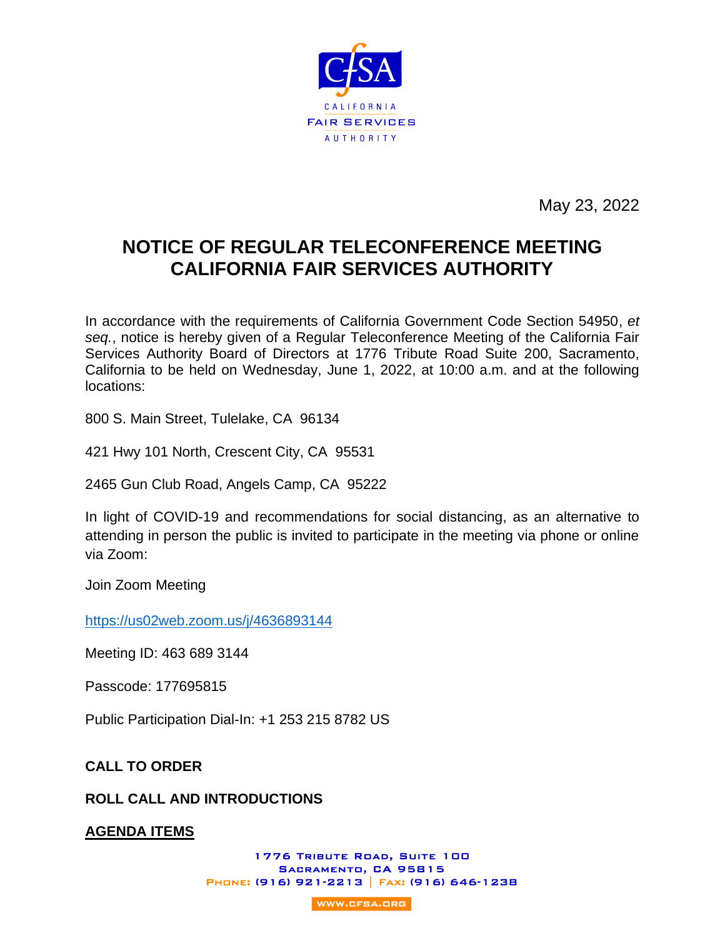

May 23, 2022

# **NOTICE OF REGULAR TELECONFERENCE MEETING CALIFORNIA FAIR SERVICES AUTHORITY**

In accordance with the requirements of California Government Code Section 54950, *et seq.*, notice is hereby given of a Regular Teleconference Meeting of the California Fair Services Authority Board of Directors at 1776 Tribute Road Suite 200, Sacramento, California to be held on Wednesday, June 1, 2022, at 10:00 a.m. and at the following locations:

800 S. Main Street, Tulelake, CA 96134

421 Hwy 101 North, Crescent City, CA 95531

2465 Gun Club Road, Angels Camp, CA 95222

In light of COVID-19 and recommendations for social distancing, as an alternative to attending in person the public is invited to participate in the meeting via phone or online via Zoom:

Join Zoom Meeting

<https://us02web.zoom.us/j/4636893144>

Meeting ID: 463 689 3144

Passcode: 177695815

Public Participation Dial-In: +1 253 215 8782 US

**CALL TO ORDER**

# **ROLL CALL AND INTRODUCTIONS**

**AGENDA ITEMS**

1776 TRIBUTE ROAD, SUITE 100 SACRAMENTO, CA 95815 PHONE: (916) 921-2213 | FAX: (916) 646-1238

**WWW.CFSA.ORG**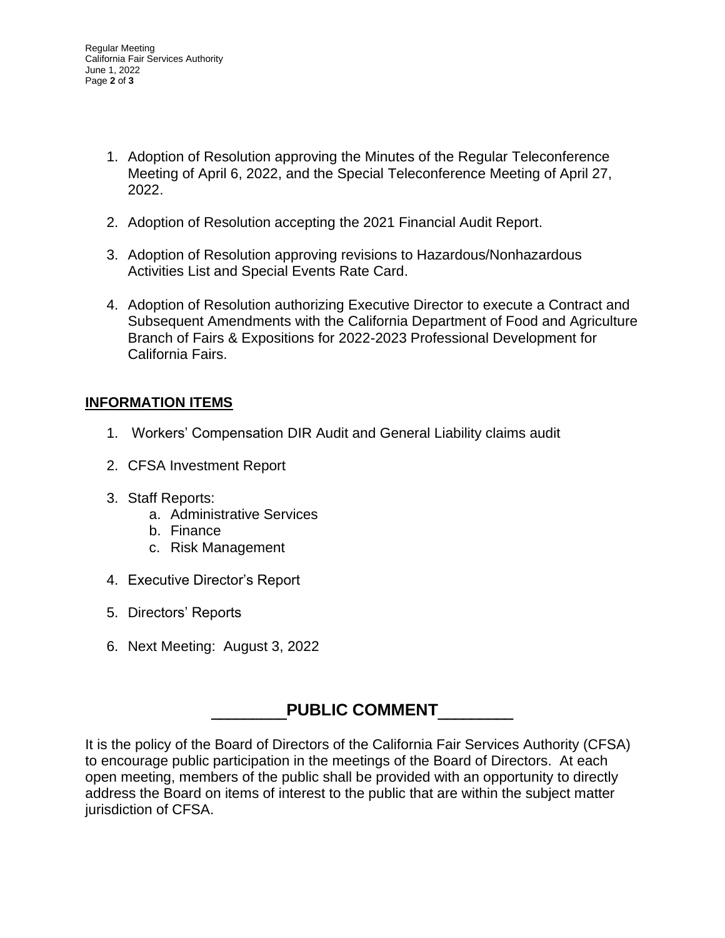- 1. Adoption of Resolution approving the Minutes of the Regular Teleconference Meeting of April 6, 2022, and the Special Teleconference Meeting of April 27, 2022.
- 2. Adoption of Resolution accepting the 2021 Financial Audit Report.
- 3. Adoption of Resolution approving revisions to Hazardous/Nonhazardous Activities List and Special Events Rate Card.
- 4. Adoption of Resolution authorizing Executive Director to execute a Contract and Subsequent Amendments with the California Department of Food and Agriculture Branch of Fairs & Expositions for 2022-2023 Professional Development for California Fairs.

# **INFORMATION ITEMS**

- 1. Workers' Compensation DIR Audit and General Liability claims audit
- 2. CFSA Investment Report
- 3. Staff Reports:
	- a. Administrative Services
	- b. Finance
	- c. Risk Management
- 4. Executive Director's Report
- 5. Directors' Reports
- 6. Next Meeting: August 3, 2022

# **PUBLIC COMMENT**

It is the policy of the Board of Directors of the California Fair Services Authority (CFSA) to encourage public participation in the meetings of the Board of Directors. At each open meeting, members of the public shall be provided with an opportunity to directly address the Board on items of interest to the public that are within the subject matter jurisdiction of CFSA.